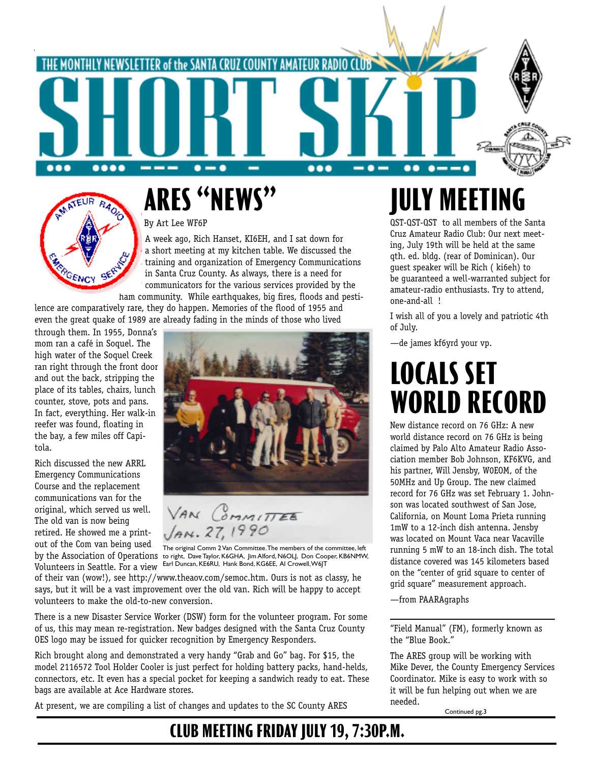



# **ARES "NEWS"**

#### By Art Lee WF6P

A week ago, Rich Hanset, KI6EH, and I sat down for a short meeting at my kitchen table. We discussed the training and organization of Emergency Communications in Santa Cruz County. As always, there is a need for communicators for the various services provided by the ham community. While earthquakes, big fires, floods and pesti-

lence are comparatively rare, they do happen. Memories of the flood of 1955 and even the great quake of 1989 are already fading in the minds of those who lived

through them. In 1955, Donna's mom ran a café in Soquel. The high water of the Soquel Creek ran right through the front door and out the back, stripping the place of its tables, chairs, lunch counter, stove, pots and pans. In fact, everything. Her walk-in reefer was found, floating in the bay, a few miles off Capitola.

Rich discussed the new ARRL Emergency Communications Course and the replacement communications van for the original, which served us well. The old van is now being retired. He showed me a printout of the Com van being used by the Association of Operations

Volunteers in Seattle. For a view



VAN COMMITTEE  $Ans. 27$ 

The original Comm 2 Van Committee. The members of the committee, left to right, Dave Taylor, K6GHA, Jim Alford, N6OLJ, Don Cooper, KB6NMW, Earl Duncan, KE6RU, Hank Bond, KG6EE, Al Crowell, W6JT

of their van (wow!), see http://www.theaov.com/semoc.htm. Ours is not as classy, he says, but it will be a vast improvement over the old van. Rich will be happy to accept volunteers to make the old-to-new conversion.

There is a new Disaster Service Worker (DSW) form for the volunteer program. For some of us, this may mean re-registration. New badges designed with the Santa Cruz County OES logo may be issued for quicker recognition by Emergency Responders.

Rich brought along and demonstrated a very handy "Grab and Go" bag. For \$15, the model 2116572 Tool Holder Cooler is just perfect for holding battery packs, hand-helds, connectors, etc. It even has a special pocket for keeping a sandwich ready to eat. These bags are available at Ace Hardware stores.

At present, we are compiling a list of changes and updates to the SC County ARES

# **JULY MEETING**

QST-QST-QST to all members of the Santa Cruz Amateur Radio Club: Our next meeting, July 19th will be held at the same qth. ed. bldg. (rear of Dominican). Our guest speaker will be Rich ( ki6eh) to be guaranteed a well-warranted subject for amateur-radio enthusiasts. Try to attend, one-and-all !

I wish all of you a lovely and patriotic 4th of July.

—de james kf6yrd your vp.

## **LOCALS SET WORLD RECORD**

New distance record on 76 GHz: A new world distance record on 76 GHz is being claimed by Palo Alto Amateur Radio Association member Bob Johnson, KF6KVG, and his partner, Will Jensby, W0EOM, of the 50MHz and Up Group. The new claimed record for 76 GHz was set February 1. Johnson was located southwest of San Jose, California, on Mount Loma Prieta running 1mW to a 12-inch dish antenna. Jensby was located on Mount Vaca near Vacaville running 5 mW to an 18-inch dish. The total distance covered was 145 kilometers based on the "center of grid square to center of grid square" measurement approach.

—from PAARAgraphs

"Field Manual" (FM), formerly known as the "Blue Book."

The ARES group will be working with Mike Dever, the County Emergency Services Coordinator. Mike is easy to work with so it will be fun helping out when we are needed. Continued pg.3

**CLUB MEETING FRIDAY JULY 19, 7:30P.M.**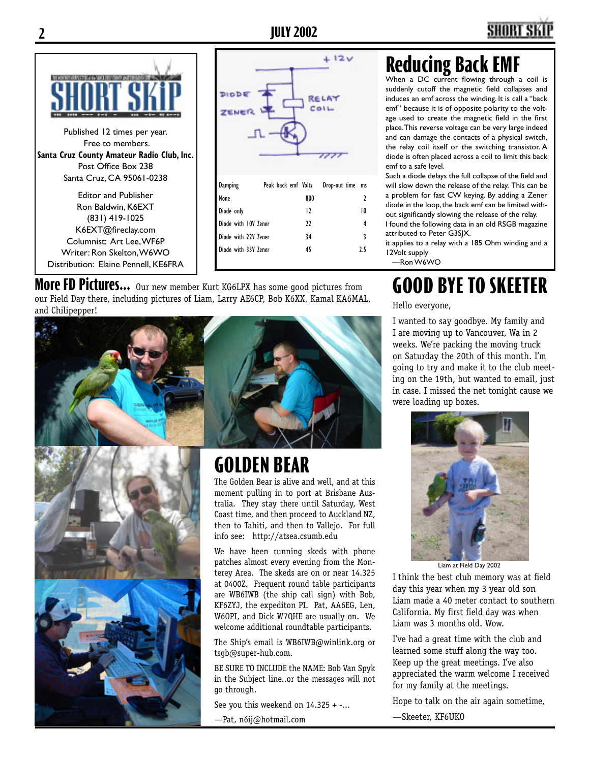

Published 12 times per year. Free to members. **Santa Cruz County Amateur Radio Club, Inc.** Post Office Box 238 Santa Cruz, CA 95061-0238

Editor and Publisher Ron Baldwin, K6EXT (831) 419-1025 K6EXT@fireclay.com Columnist: Art Lee, WF6P Writer: Ron Skelton, W6WO Distribution: Elaine Pennell, KE6FRA



**More FD Pictures...** Our new member Kurt KG6LPX has some good pictures from our Field Day there, including pictures of Liam, Larry AE6CP, Bob K6XX, Kamal KA6MAL, and Chilipepper!



## **Reducing Back EMF**

When a DC current flowing through a coil is suddenly cutoff the magnetic field collapses and induces an emf across the winding. It is call a "back emf" because it is of opposite polarity to the voltage used to create the magnetic field in the first place. This reverse voltage can be very large indeed and can damage the contacts of a physical switch, the relay coil itself or the switching transistor. A diode is often placed across a coil to limit this back emf to a safe level.

Such a diode delays the full collapse of the field and will slow down the release of the relay. This can be a problem for fast CW keying. By adding a Zener diode in the loop, the back emf can be limited without significantly slowing the release of the relay.

I found the following data in an old RSGB magazine attributed to Peter G3SJX.

it applies to a relay with a 185 Ohm winding and a 12Volt supply

—Ron W6WO

## **GOOD BYE TO SKEETER**

Hello everyone,

I wanted to say goodbye. My family and I are moving up to Vancouver, Wa in 2 weeks. We're packing the moving truck on Saturday the 20th of this month. I'm going to try and make it to the club meeting on the 19th, but wanted to email, just in case. I missed the net tonight cause we were loading up boxes.



Liam at Field Day 2002

I think the best club memory was at field day this year when my 3 year old son Liam made a 40 meter contact to southern California. My first field day was when Liam was 3 months old. Wow.

I've had a great time with the club and learned some stuff along the way too. Keep up the great meetings. I've also appreciated the warm welcome I received for my family at the meetings.

Hope to talk on the air again sometime,

—Skeeter, KF6UKO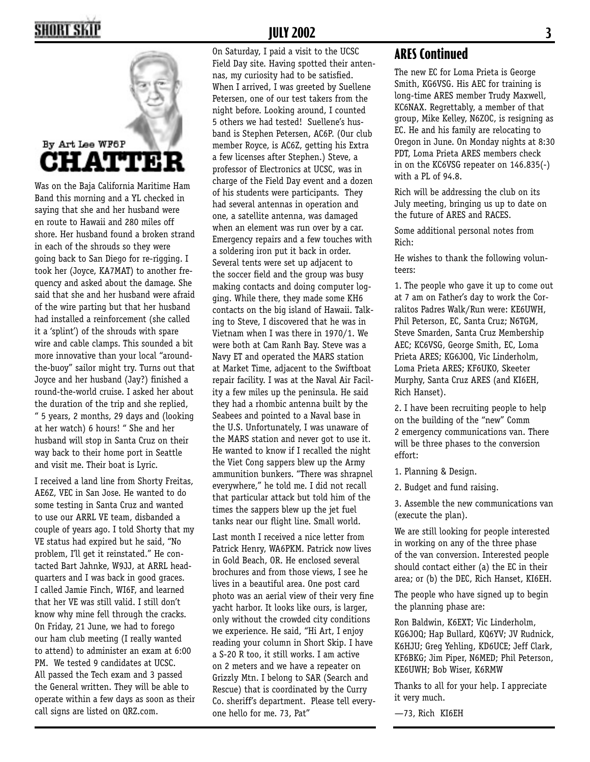### SHORT SKI



Was on the Baja California Maritime Ham Band this morning and a YL checked in saying that she and her husband were en route to Hawaii and 280 miles off shore. Her husband found a broken strand in each of the shrouds so they were going back to San Diego for re-rigging. I took her (Joyce, KA7MAT) to another frequency and asked about the damage. She said that she and her husband were afraid of the wire parting but that her husband had installed a reinforcement (she called it a 'splint') of the shrouds with spare wire and cable clamps. This sounded a bit more innovative than your local "aroundthe-buoy" sailor might try. Turns out that Joyce and her husband (Jay?) finished a round-the-world cruise. I asked her about the duration of the trip and she replied, " 5 years, 2 months, 29 days and (looking at her watch) 6 hours! " She and her husband will stop in Santa Cruz on their way back to their home port in Seattle and visit me. Their boat is Lyric.

I received a land line from Shorty Freitas, AE6Z, VEC in San Jose. He wanted to do some testing in Santa Cruz and wanted to use our ARRL VE team, disbanded a couple of years ago. I told Shorty that my VE status had expired but he said, "No problem, I'll get it reinstated." He contacted Bart Jahnke, W9JJ, at ARRL headquarters and I was back in good graces. I called Jamie Finch, WI6F, and learned that her VE was still valid. I still don't know why mine fell through the cracks. On Friday, 21 June, we had to forego our ham club meeting (I really wanted to attend) to administer an exam at 6:00 PM. We tested 9 candidates at UCSC. All passed the Tech exam and 3 passed the General written. They will be able to operate within a few days as soon as their call signs are listed on QRZ.com.

#### **JULY 2002 3**

On Saturday, I paid a visit to the UCSC Field Day site. Having spotted their antennas, my curiosity had to be satisfied. When I arrived, I was greeted by Suellene Petersen, one of our test takers from the night before. Looking around, I counted 5 others we had tested! Suellene's husband is Stephen Petersen, AC6P. (Our club member Royce, is AC6Z, getting his Extra a few licenses after Stephen.) Steve, a professor of Electronics at UCSC, was in charge of the Field Day event and a dozen of his students were participants. They had several antennas in operation and one, a satellite antenna, was damaged when an element was run over by a car. Emergency repairs and a few touches with a soldering iron put it back in order. Several tents were set up adjacent to the soccer field and the group was busy making contacts and doing computer logging. While there, they made some KH6 contacts on the big island of Hawaii. Talking to Steve, I discovered that he was in Vietnam when I was there in 1970/1. We were both at Cam Ranh Bay. Steve was a Navy ET and operated the MARS station at Market Time, adjacent to the Swiftboat repair facility. I was at the Naval Air Facility a few miles up the peninsula. He said they had a rhombic antenna built by the Seabees and pointed to a Naval base in the U.S. Unfortunately, I was unaware of the MARS station and never got to use it. He wanted to know if I recalled the night the Viet Cong sappers blew up the Army ammunition bunkers. "There was shrapnel everywhere," he told me. I did not recall that particular attack but told him of the times the sappers blew up the jet fuel tanks near our flight line. Small world.

Last month I received a nice letter from Patrick Henry, WA6PKM. Patrick now lives in Gold Beach, OR. He enclosed several brochures and from those views, I see he lives in a beautiful area. One post card photo was an aerial view of their very fine yacht harbor. It looks like ours, is larger, only without the crowded city conditions we experience. He said, "Hi Art, I enjoy reading your column in Short Skip. I have a S-20 R too, it still works. I am active on 2 meters and we have a repeater on Grizzly Mtn. I belong to SAR (Search and Rescue) that is coordinated by the Curry Co. sheriff's department. Please tell everyone hello for me. 73, Pat"

#### **ARES Continued**

The new EC for Loma Prieta is George Smith, KG6VSG. His AEC for training is long-time ARES member Trudy Maxwell, KC6NAX. Regrettably, a member of that group, Mike Kelley, N6ZOC, is resigning as EC. He and his family are relocating to Oregon in June. On Monday nights at 8:30 PDT, Loma Prieta ARES members check in on the KC6VSG repeater on 146.835(-) with a PL of 94.8.

Rich will be addressing the club on its July meeting, bringing us up to date on the future of ARES and RACES.

Some additional personal notes from Rich:

He wishes to thank the following volunteers:

1. The people who gave it up to come out at 7 am on Father's day to work the Corralitos Padres Walk/Run were: KE6UWH, Phil Peterson, EC, Santa Cruz; N6TGM, Steve Smarden, Santa Cruz Membership AEC; KC6VSG, George Smith, EC, Loma Prieta ARES; KG6JOQ, Vic Linderholm, Loma Prieta ARES; KF6UKO, Skeeter Murphy, Santa Cruz ARES (and KI6EH, Rich Hanset).

2. I have been recruiting people to help on the building of the "new" Comm 2 emergency communications van. There will be three phases to the conversion effort:

1. Planning & Design.

2. Budget and fund raising.

3. Assemble the new communications van (execute the plan).

We are still looking for people interested in working on any of the three phase of the van conversion. Interested people should contact either (a) the EC in their area; or (b) the DEC, Rich Hanset, KI6EH.

The people who have signed up to begin the planning phase are:

Ron Baldwin, K6EXT; Vic Linderholm, KG6JOQ; Hap Bullard, KQ6YV; JV Rudnick, K6HJU; Greg Yehling, KD6UCE; Jeff Clark, KF6BKG; Jim Piper, N6MED; Phil Peterson, KE6UWH; Bob Wiser, K6RMW

Thanks to all for your help. I appreciate it very much.

—73, Rich KI6EH